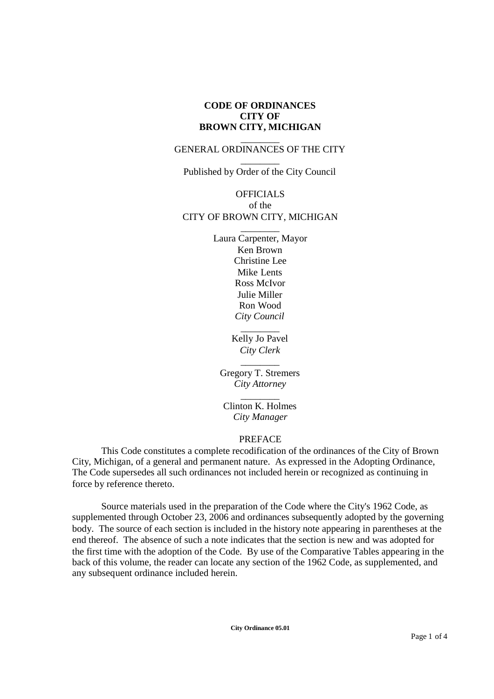# **CODE OF ORDINANCES CITY OF BROWN CITY, MICHIGAN**

## \_\_\_\_\_\_\_\_ GENERAL ORDINANCES OF THE CITY

\_\_\_\_\_\_\_\_ Published by Order of the City Council

# OFFICIALS of the CITY OF BROWN CITY, MICHIGAN

\_\_\_\_\_\_\_\_

Laura Carpenter, Mayor Ken Brown Christine Lee Mike Lents Ross McIvor Julie Miller Ron Wood *City Council*

> \_\_\_\_\_\_\_\_ Kelly Jo Pavel *City Clerk*

Gregory T. Stremers *City Attorney*

 $\overline{\phantom{a}}$ 

\_\_\_\_\_\_\_\_ Clinton K. Holmes *City Manager*

# PREFACE

This Code constitutes a complete recodification of the ordinances of the City of Brown City, Michigan, of a general and permanent nature. As expressed in the Adopting Ordinance, The Code supersedes all such ordinances not included herein or recognized as continuing in force by reference thereto.

Source materials used in the preparation of the Code where the City's 1962 Code, as supplemented through October 23, 2006 and ordinances subsequently adopted by the governing body. The source of each section is included in the history note appearing in parentheses at the end thereof. The absence of such a note indicates that the section is new and was adopted for the first time with the adoption of the Code. By use of the Comparative Tables appearing in the back of this volume, the reader can locate any section of the 1962 Code, as supplemented, and any subsequent ordinance included herein.

**City Ordinance 05.01**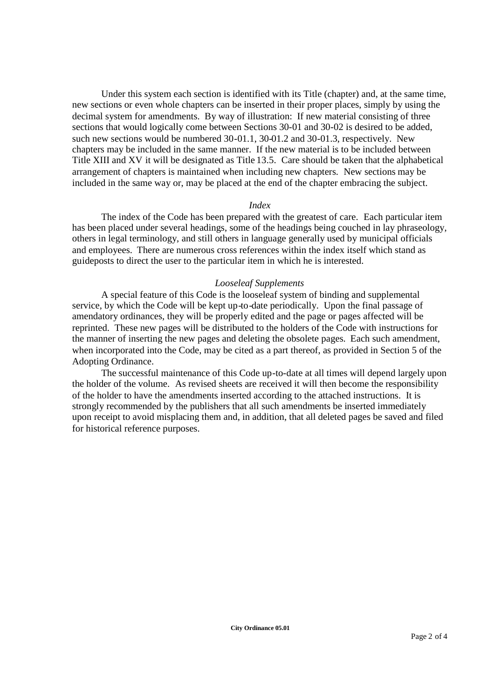Under this system each section is identified with its Title (chapter) and, at the same time, new sections or even whole chapters can be inserted in their proper places, simply by using the decimal system for amendments. By way of illustration: If new material consisting of three sections that would logically come between Sections 30-01 and 30-02 is desired to be added, such new sections would be numbered 30-01.1, 30-01.2 and 30-01.3, respectively. New chapters may be included in the same manner. If the new material is to be included between Title XIII and XV it will be designated as Title 13.5. Care should be taken that the alphabetical arrangement of chapters is maintained when including new chapters. New sections may be included in the same way or, may be placed at the end of the chapter embracing the subject.

### *Index*

The index of the Code has been prepared with the greatest of care. Each particular item has been placed under several headings, some of the headings being couched in lay phraseology, others in legal terminology, and still others in language generally used by municipal officials and employees. There are numerous cross references within the index itself which stand as guideposts to direct the user to the particular item in which he is interested.

## *Looseleaf Supplements*

A special feature of this Code is the looseleaf system of binding and supplemental service, by which the Code will be kept up-to-date periodically. Upon the final passage of amendatory ordinances, they will be properly edited and the page or pages affected will be reprinted. These new pages will be distributed to the holders of the Code with instructions for the manner of inserting the new pages and deleting the obsolete pages. Each such amendment, when incorporated into the Code, may be cited as a part thereof, as provided in Section 5 of the Adopting Ordinance.

The successful maintenance of this Code up-to-date at all times will depend largely upon the holder of the volume. As revised sheets are received it will then become the responsibility of the holder to have the amendments inserted according to the attached instructions. It is strongly recommended by the publishers that all such amendments be inserted immediately upon receipt to avoid misplacing them and, in addition, that all deleted pages be saved and filed for historical reference purposes.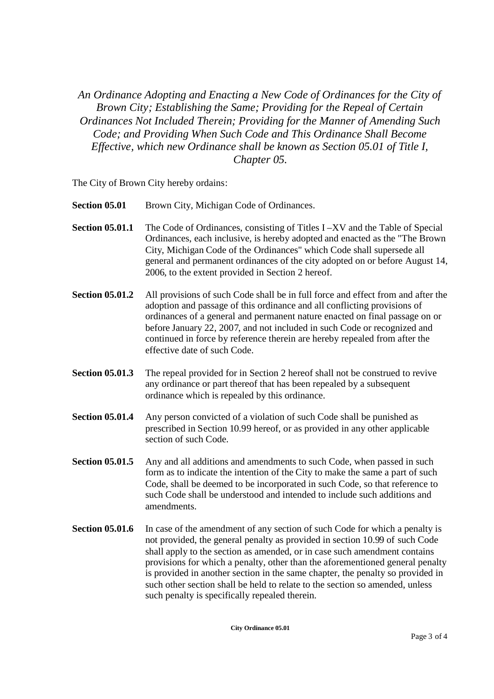*An Ordinance Adopting and Enacting a New Code of Ordinances for the City of Brown City; Establishing the Same; Providing for the Repeal of Certain Ordinances Not Included Therein; Providing for the Manner of Amending Such Code; and Providing When Such Code and This Ordinance Shall Become Effective, which new Ordinance shall be known as Section 05.01 of Title I, Chapter 05.*

The City of Brown City hereby ordains:

- **Section 05.01** Brown City, Michigan Code of Ordinances.
- **Section 05.01.1** The Code of Ordinances, consisting of Titles I –XV and the Table of Special Ordinances, each inclusive, is hereby adopted and enacted as the "The Brown City, Michigan Code of the Ordinances" which Code shall supersede all general and permanent ordinances of the city adopted on or before August 14, 2006, to the extent provided in Section 2 hereof.
- **Section 05.01.2** All provisions of such Code shall be in full force and effect from and after the adoption and passage of this ordinance and all conflicting provisions of ordinances of a general and permanent nature enacted on final passage on or before January 22, 2007, and not included in such Code or recognized and continued in force by reference therein are hereby repealed from after the effective date of such Code.
- **Section 05.01.3** The repeal provided for in Section 2 hereof shall not be construed to revive any ordinance or part thereof that has been repealed by a subsequent ordinance which is repealed by this ordinance.
- **Section 05.01.4** Any person convicted of a violation of such Code shall be punished as prescribed in Section 10.99 hereof, or as provided in any other applicable section of such Code.
- **Section 05.01.5** Any and all additions and amendments to such Code, when passed in such form as to indicate the intention of the City to make the same a part of such Code, shall be deemed to be incorporated in such Code, so that reference to such Code shall be understood and intended to include such additions and amendments.
- **Section 05.01.6** In case of the amendment of any section of such Code for which a penalty is not provided, the general penalty as provided in section 10.99 of such Code shall apply to the section as amended, or in case such amendment contains provisions for which a penalty, other than the aforementioned general penalty is provided in another section in the same chapter, the penalty so provided in such other section shall be held to relate to the section so amended, unless such penalty is specifically repealed therein.